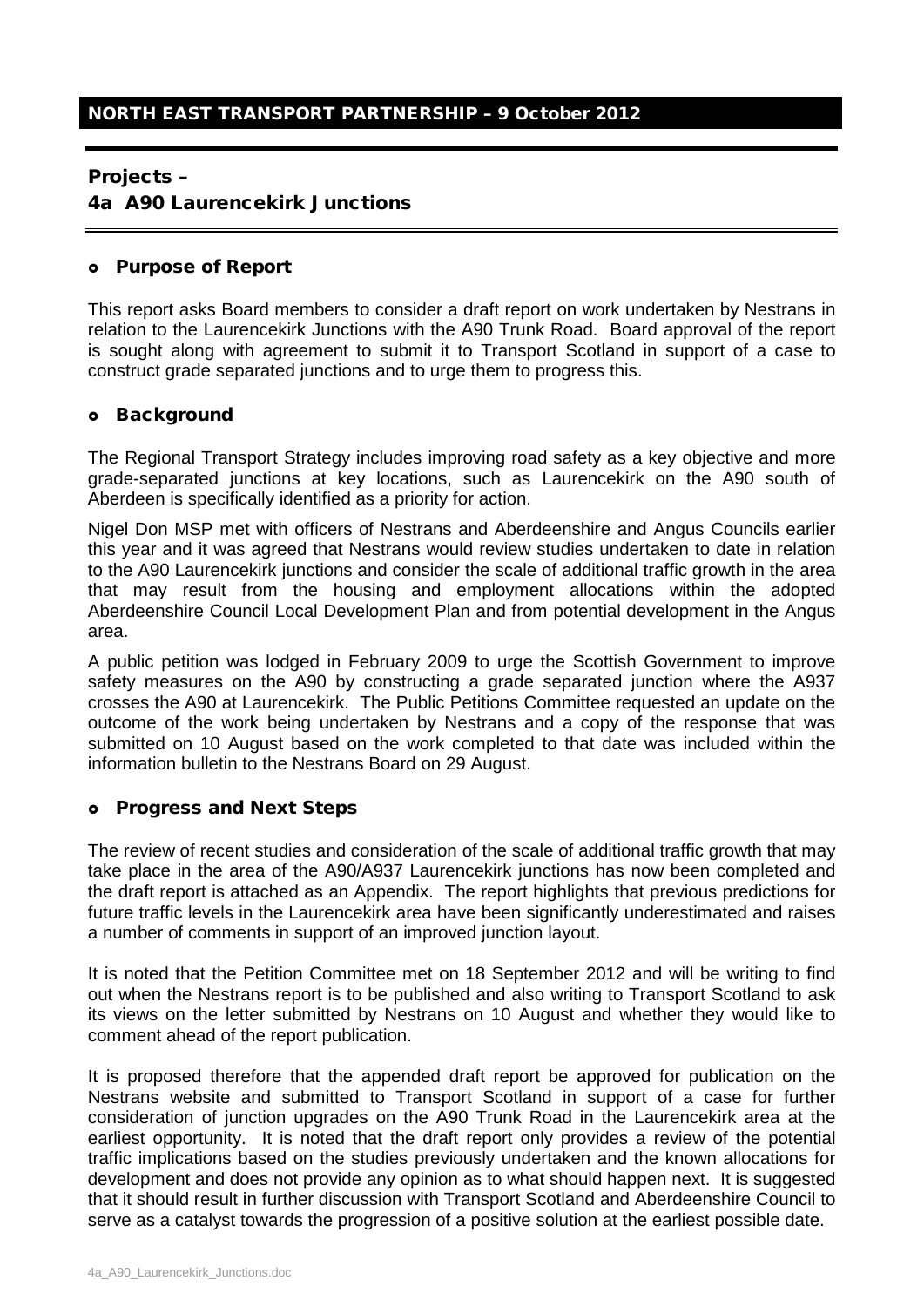### Projects –

4a A90 Laurencekirk Junctions

#### Purpose of Report

This report asks Board members to consider a draft report on work undertaken by Nestrans in relation to the Laurencekirk Junctions with the A90 Trunk Road. Board approval of the report is sought along with agreement to submit it to Transport Scotland in support of a case to construct grade separated junctions and to urge them to progress this.

### o Background

The Regional Transport Strategy includes improving road safety as a key objective and more grade-separated junctions at key locations, such as Laurencekirk on the A90 south of Aberdeen is specifically identified as a priority for action.

Nigel Don MSP met with officers of Nestrans and Aberdeenshire and Angus Councils earlier this year and it was agreed that Nestrans would review studies undertaken to date in relation to the A90 Laurencekirk junctions and consider the scale of additional traffic growth in the area that may result from the housing and employment allocations within the adopted Aberdeenshire Council Local Development Plan and from potential development in the Angus area.

A public petition was lodged in February 2009 to urge the Scottish Government to improve safety measures on the A90 by constructing a grade separated junction where the A937 crosses the A90 at Laurencekirk. The Public Petitions Committee requested an update on the outcome of the work being undertaken by Nestrans and a copy of the response that was submitted on 10 August based on the work completed to that date was included within the information bulletin to the Nestrans Board on 29 August.

# Progress and Next Steps

The review of recent studies and consideration of the scale of additional traffic growth that may take place in the area of the A90/A937 Laurencekirk junctions has now been completed and the draft report is attached as an Appendix. The report highlights that previous predictions for future traffic levels in the Laurencekirk area have been significantly underestimated and raises a number of comments in support of an improved junction layout.

It is noted that the Petition Committee met on 18 September 2012 and will be writing to find out when the Nestrans report is to be published and also writing to Transport Scotland to ask its views on the letter submitted by Nestrans on 10 August and whether they would like to comment ahead of the report publication.

It is proposed therefore that the appended draft report be approved for publication on the Nestrans website and submitted to Transport Scotland in support of a case for further consideration of junction upgrades on the A90 Trunk Road in the Laurencekirk area at the earliest opportunity. It is noted that the draft report only provides a review of the potential traffic implications based on the studies previously undertaken and the known allocations for development and does not provide any opinion as to what should happen next. It is suggested that it should result in further discussion with Transport Scotland and Aberdeenshire Council to serve as a catalyst towards the progression of a positive solution at the earliest possible date.